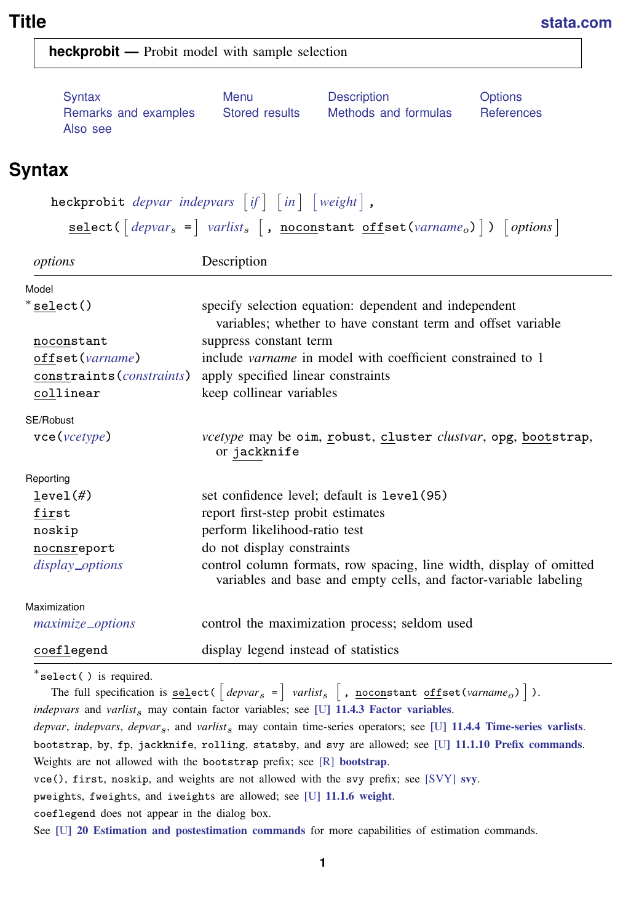<span id="page-0-2"></span>

**heckprobit —** Probit model with sample selection

| Syntax               | Menu           | Description          | <b>Options</b> |
|----------------------|----------------|----------------------|----------------|
| Remarks and examples | Stored results | Methods and formulas | References     |
| Also see             |                |                      |                |

# <span id="page-0-0"></span>**Syntax**

 ${\tt heckprobit}$   $\it depvar$  $\it depvar$   $\it indepvars$  $\it indepvars$   $\lceil if \rceil$  $\lceil if \rceil$  $\lceil if \rceil$   $\lceil in \rceil$  $\lceil in \rceil$  $\lceil in \rceil$   $\lceil weight \rceil$  $\lceil weight \rceil$  $\lceil weight \rceil$  , <u>sel</u>ect( $\left[ \textit{depvar}_s = \right]$  $\left[ \textit{depvar}_s = \right]$  $\left[ \textit{depvar}_s = \right]$  [varlist](http://www.stata.com/manuals13/u11.pdf#u11.4varlists)<sub>s</sub>  $\left[$  , <u>nocon</u>stant <u>off</u>set([varname](http://www.stata.com/manuals13/u11.pdf#u11.3Namingconventions)<sub>o</sub>)])  $\left[ \textit{options} \right]$ 

| options                      | Description                                                                                                                             |  |  |
|------------------------------|-----------------------------------------------------------------------------------------------------------------------------------------|--|--|
| Model                        |                                                                                                                                         |  |  |
| $*$ select()                 | specify selection equation: dependent and independent<br>variables; whether to have constant term and offset variable                   |  |  |
| noconstant                   | suppress constant term                                                                                                                  |  |  |
| offset (varname)             | include <i>varname</i> in model with coefficient constrained to 1                                                                       |  |  |
|                              | constraints ( <i>constraints</i> ) apply specified linear constraints                                                                   |  |  |
| collinear                    | keep collinear variables                                                                                                                |  |  |
| SE/Robust                    |                                                                                                                                         |  |  |
| $\text{vec}(\text{vcetype})$ | <i>vcetype</i> may be oim, robust, cluster <i>clustvar</i> , opg, bootstrap,<br>or jackknife                                            |  |  |
| Reporting                    |                                                                                                                                         |  |  |
| level(f)                     | set confidence level; default is level (95)                                                                                             |  |  |
| first                        | report first-step probit estimates                                                                                                      |  |  |
| noskip                       | perform likelihood-ratio test                                                                                                           |  |  |
| nocnsreport                  | do not display constraints                                                                                                              |  |  |
| display_options              | control column formats, row spacing, line width, display of omitted<br>variables and base and empty cells, and factor-variable labeling |  |  |
| Maximization                 |                                                                                                                                         |  |  |
| <i>maximize_options</i>      | control the maximization process; seldom used                                                                                           |  |  |
| coeflegend                   | display legend instead of statistics                                                                                                    |  |  |

∗ select( ) is required.

<span id="page-0-1"></span>The full specification is <u>sel</u>ect(  $\left[ \textit{depvar}_{s} \text{ =}\right]$  *varlist*<sub>s</sub>  $\left[$  , <u>nocon</u>stant <u>off</u>set(*varname<sub>o</sub>*)]). *indepvars* and *varlist*s may contain factor variables; see [U[\] 11.4.3 Factor variables](http://www.stata.com/manuals13/u11.pdf#u11.4.3Factorvariables). *depvar*, *indepvars*, *depvar*s, and *varlist*s may contain time-series operators; see [U[\] 11.4.4 Time-series varlists](http://www.stata.com/manuals13/u11.pdf#u11.4.4Time-seriesvarlists). bootstrap, by, fp, jackknife, rolling, statsby, and svy are allowed; see [U[\] 11.1.10 Prefix commands](http://www.stata.com/manuals13/u11.pdf#u11.1.10Prefixcommands). Weights are not allowed with the [bootstrap](http://www.stata.com/manuals13/rbootstrap.pdf#rbootstrap) prefix; see [R] bootstrap. vce(), first, noskip, and weights are not allowed with the svy prefix; see [\[SVY\]](http://www.stata.com/manuals13/svysvy.pdf#svysvy) svy. pweights, fweights, and iweights are allowed; see [U[\] 11.1.6 weight](http://www.stata.com/manuals13/u11.pdf#u11.1.6weight). coeflegend does not appear in the dialog box. See [U[\] 20 Estimation and postestimation commands](http://www.stata.com/manuals13/u20.pdf#u20Estimationandpostestimationcommands) for more capabilities of estimation commands.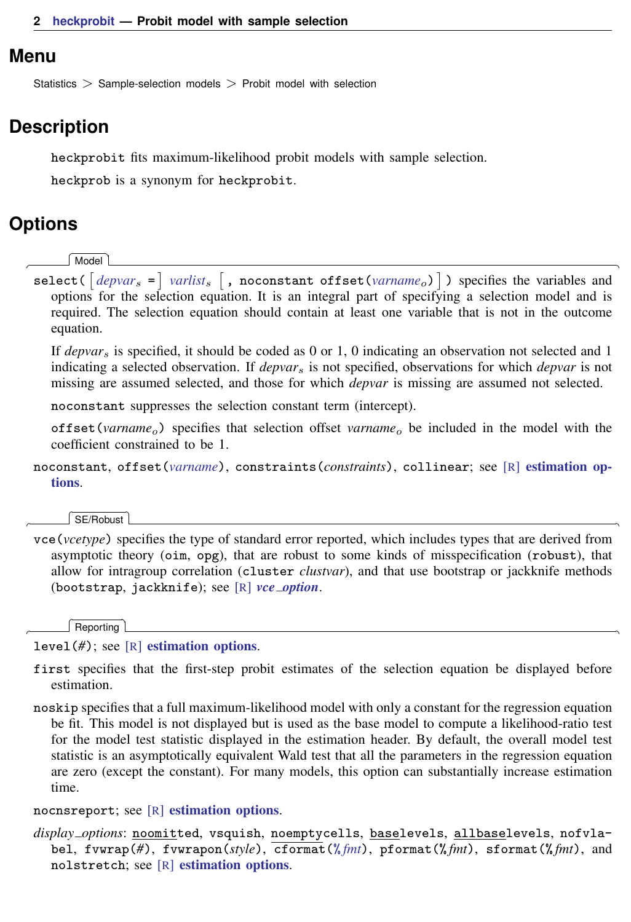### <span id="page-1-0"></span>**Menu**

<span id="page-1-1"></span>Statistics > Sample-selection models > Probit model with selection

## **Description**

heckprobit fits maximum-likelihood probit models with sample selection.

<span id="page-1-2"></span>heckprob is a synonym for heckprobit.

# **Options**

 $\overline{a}$ 

 $\overline{a}$ 

 $\overline{a}$ 

**Model** Model

 $\texttt{select}(\texttt{[deptar_s =] } variables \texttt{[}, \texttt{noconstant offset}(\textit{varname}_o) \texttt{]}) \text{ specifies the variables and}$  $\texttt{select}(\texttt{[deptar_s =] } variables \texttt{[}, \texttt{noconstant offset}(\textit{varname}_o) \texttt{]}) \text{ specifies the variables and}$  $\texttt{select}(\texttt{[deptar_s =] } variables \texttt{[}, \texttt{noconstant offset}(\textit{varname}_o) \texttt{]}) \text{ specifies the variables and}$ options for the selection equation. It is an integral part of specifying a selection model and is required. The selection equation should contain at least one variable that is not in the outcome equation.

If *depvar*<sup>s</sup> is specified, it should be coded as 0 or 1, 0 indicating an observation not selected and 1 indicating a selected observation. If *depvar*<sup>s</sup> is not specified, observations for which *depvar* is not missing are assumed selected, and those for which *depvar* is missing are assumed not selected.

noconstant suppresses the selection constant term (intercept).

offset (*varname<sub>o</sub>*) specifies that selection offset *varname<sub>o</sub>* be included in the model with the coefficient constrained to be 1.

noconstant, offset(*[varname](http://www.stata.com/manuals13/u11.pdf#u11.3Namingconventions)*), constraints(*constraints*), collinear; see [R] [estimation op](http://www.stata.com/manuals13/restimationoptions.pdf#restimationoptions)[tions](http://www.stata.com/manuals13/restimationoptions.pdf#restimationoptions).

 $SFRohust$ SE/Robust Letters and the contract of the contract of the contract of the contract of the contract of the contract of the contract of the contract of the contract of the contract of the contract of the contract of the cont

vce(*vcetype*) specifies the type of standard error reported, which includes types that are derived from asymptotic theory (oim, opg), that are robust to some kinds of misspecification (robust), that allow for intragroup correlation (cluster *clustvar*), and that use bootstrap or jackknife methods (bootstrap, jackknife); see [R] *vce [option](http://www.stata.com/manuals13/rvce_option.pdf#rvce_option)*.

Reporting Reporting Letters and the contract of the contract of the contract of the contract of the contract of the contract of the contract of the contract of the contract of the contract of the contract of the contract of the cont

level(*#*); see [R] [estimation options](http://www.stata.com/manuals13/restimationoptions.pdf#restimationoptions).

- first specifies that the first-step probit estimates of the selection equation be displayed before estimation.
- noskip specifies that a full maximum-likelihood model with only a constant for the regression equation be fit. This model is not displayed but is used as the base model to compute a likelihood-ratio test for the model test statistic displayed in the estimation header. By default, the overall model test statistic is an asymptotically equivalent Wald test that all the parameters in the regression equation are zero (except the constant). For many models, this option can substantially increase estimation time.

nocnsreport; see [R] [estimation options](http://www.stata.com/manuals13/restimationoptions.pdf#restimationoptions).

<span id="page-1-3"></span>*display options*: noomitted, vsquish, noemptycells, baselevels, allbaselevels, nofvlabel, fvwrap(*#*), fvwrapon(*style*), cformat(% *[fmt](http://www.stata.com/manuals13/d.pdf#dformat)*), pformat(% *fmt*), sformat(% *fmt*), and nolstretch; see [R] [estimation options](http://www.stata.com/manuals13/restimationoptions.pdf#restimationoptions).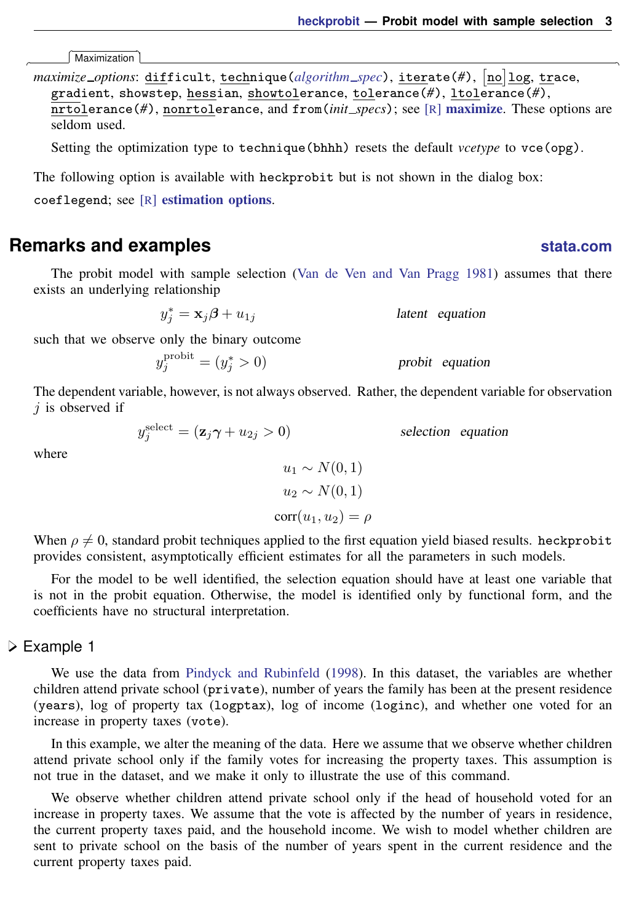selection equation

Maximization Maximization <u>the contract of the contract of the contract of the contract of the contract of the contract of the contract of the contract of the contract of the contract of the contract of the contract of the contract of </u>

<span id="page-2-1"></span> $\overline{a}$ 

*maximize\_options*: <u>dif</u>ficult, <u>tech</u>nique(*[algorithm](http://www.stata.com/manuals13/rmaximize.pdf#rmaximizeSyntaxalgorithm_spec)\_spec*), <u>iter</u>ate(#),  $\left[\underline{\text{no}}\right]$  <u>log, tr</u>ace, gradient, showstep, hessian, showtolerance, tolerance(*#*), ltolerance(*#*), nrtolerance(*#*), nonrtolerance, and from(*init specs*); see [R] [maximize](http://www.stata.com/manuals13/rmaximize.pdf#rmaximize). These options are seldom used.

Setting the optimization type to technique(bhhh) resets the default *vcetype* to vce(opg).

<span id="page-2-0"></span>The following option is available with heckprobit but is not shown in the dialog box: coeflegend; see [R] [estimation options](http://www.stata.com/manuals13/restimationoptions.pdf#restimationoptions).

### **Remarks and examples status statistic** *status* **examples**

The probit model with sample selection [\(Van de Ven and Van Pragg](#page-7-1) [1981\)](#page-7-1) assumes that there exists an underlying relationship

 $y_j^* = \mathbf{x}_j \boldsymbol{\beta} + u_{1j}$  latent equation

such that we observe only the binary outcome probit

$$
y_j^{\text{probit}} = (y_j^* > 0) \qquad \qquad \text{probit equation}
$$

The dependent variable, however, is not always observed. Rather, the dependent variable for observation  $j$  is observed if

$$
y_j^{\text{select}} = (\mathbf{z}_j \boldsymbol{\gamma} + u_{2j} > 0)
$$

where

$$
u_1 \sim N(0, 1)
$$
  

$$
u_2 \sim N(0, 1)
$$
  

$$
corr(u_1, u_2) = \rho
$$

When  $\rho \neq 0$ , standard probit techniques applied to the first equation yield biased results. heckprobit provides consistent, asymptotically efficient estimates for all the parameters in such models.

For the model to be well identified, the selection equation should have at least one variable that is not in the probit equation. Otherwise, the model is identified only by functional form, and the coefficients have no structural interpretation.

### <span id="page-2-2"></span>Example 1

We use the data from [Pindyck and Rubinfeld](#page-7-2) [\(1998](#page-7-2)). In this dataset, the variables are whether children attend private school (private), number of years the family has been at the present residence (years), log of property tax (logptax), log of income (loginc), and whether one voted for an increase in property taxes (vote).

In this example, we alter the meaning of the data. Here we assume that we observe whether children attend private school only if the family votes for increasing the property taxes. This assumption is not true in the dataset, and we make it only to illustrate the use of this command.

We observe whether children attend private school only if the head of household voted for an increase in property taxes. We assume that the vote is affected by the number of years in residence, the current property taxes paid, and the household income. We wish to model whether children are sent to private school on the basis of the number of years spent in the current residence and the current property taxes paid.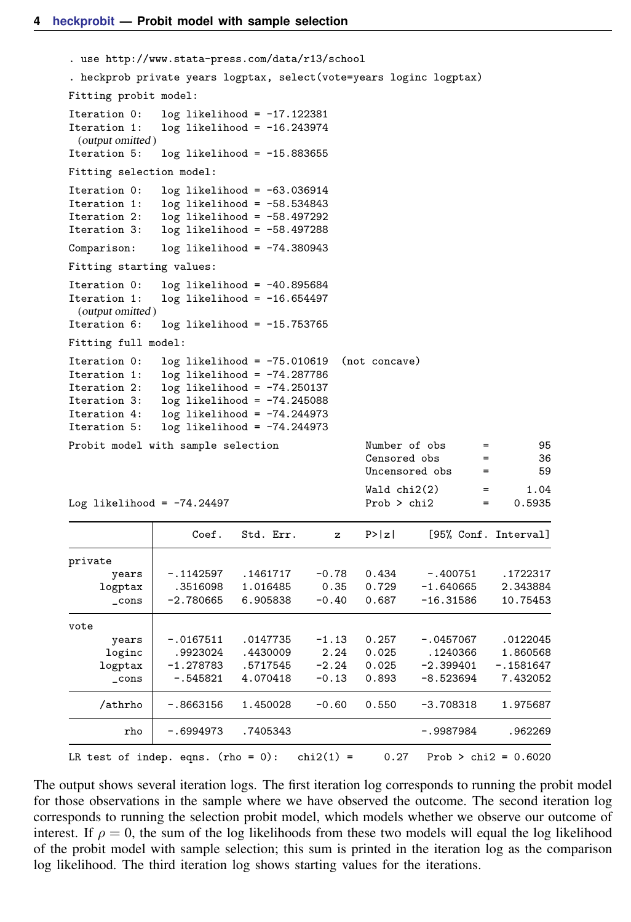```
. use http://www.stata-press.com/data/r13/school
. heckprob private years logptax, select(vote=years loginc logptax)
Fitting probit model:
Iteration 0: log likelihood = -17.122381<br>Iteration 1: log likelihood = -16.243974
                  log likelihood = -16.243974(output omitted )
Iteration 5: log likelihood = -15.883655
Fitting selection model:
Iteration 0: log likelihood = -63.036914<br>Iteration 1: log likelihood = -58.534843Iteration 1: log likelihood = -58.534843<br>Iteration 2: log likelihood = -58.497292
                 log likelihood = -58.497292
Iteration 3: log likelihood = -58.497288
Comparison: log likelihood = -74.380943
Fitting starting values:
Iteration 0: log likelihood = -40.895684<br>Iteration 1: log likelihood = -16.654497
                  log likelihood = -16.654497
  (output omitted )
Iteration 6: log likelihood = -15.753765
Fitting full model:
Iteration 0: log likelihood = -75.010619 (not concave)<br>Iteration 1: log likelihood = -74.287786Iteration 1: log likelihood = -74.287786<br>Iteration 2: log likelihood = -74.250137
Iteration 2: log likelihood = -74.250137<br>Iteration 3: log likelihood = -74.245088Iteration 3: log likelihood = -74.245088<br>Iteration 4: log likelihood = -74.244973Iteration 4: log likelihood = -74.244973<br>Iteration 5: log likelihood = -74.244973log likelihood = -74.244973Probit model with sample selection Number of obs = 95<br>
Censored obs = 36
                                                          Censored obs =<br>\frac{366}{100} =Uncensored obs = 59
                                                          Wald chi2(2) = 1.04Log likelihood = -74.24497 Prob > chi2 = 0.5935
                        Coef. Std. Err. z P>|z| [95%, Conf. Interval]
private
      years -.1142597 .1461717 -0.78 0.434 -.400751 .1722317<br>1.3516098 1.016485 0.35 0.729 -1.640665 2.343884
      logptax .3516098 1.016485 0.35 0.729 -1.640665 2.343884
         _cons -2.780665 6.905838 -0.40 0.687 -16.31586 10.75453
vote
        years -.0167511 .0147735 -1.13 0.257 -.0457067 .0122045<br>oginc .9923024 .4430009 2.24 0.025 .1240366 1.860568
      loginc .9923024 .4430009 2.24 0.025 .1240366 1.860568<br>logptax -1.278783 .5717545 -2.24 0.025 -2.399401 -.1581647
                                                -2.24 0.025 -2.399401 -1581647<br>-0.13 0.893 -8.523694 7.432052
        \text{cons } -.545821 4.070418 -0.13 0.893
      /athrho | -.8663156 1.450028 -0.60 0.550 -3.708318 1.975687
           rho -.6994973 .7405343 -.9987984 .962269
LR test of indep. eqns. (rho = 0): chi2(1) = 0.27 Prob > chi2 = 0.6020
```
The output shows several iteration logs. The first iteration log corresponds to running the probit model for those observations in the sample where we have observed the outcome. The second iteration log corresponds to running the selection probit model, which models whether we observe our outcome of interest. If  $\rho = 0$ , the sum of the log likelihoods from these two models will equal the log likelihood of the probit model with sample selection; this sum is printed in the iteration log as the comparison log likelihood. The third iteration log shows starting values for the iterations.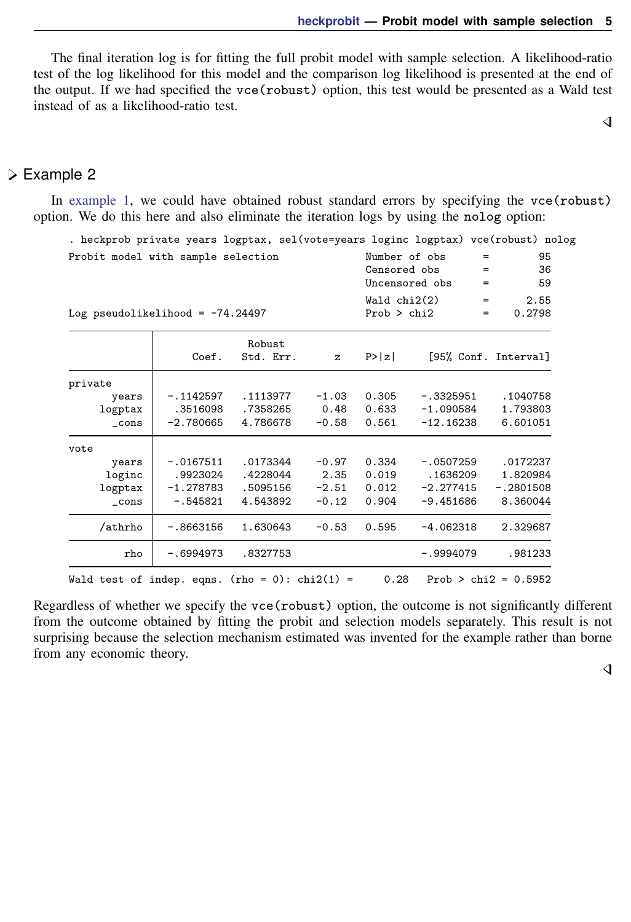The final iteration log is for fitting the full probit model with sample selection. A likelihood-ratio test of the log likelihood for this model and the comparison log likelihood is presented at the end of the output. If we had specified the vce(robust) option, this test would be presented as a Wald test instead of as a likelihood-ratio test.

 $\overline{4}$ 

### Example 2

In [example 1,](#page-2-2) we could have obtained robust standard errors by specifying the vce (robust) option. We do this here and also eliminate the iteration logs by using the nolog option:

|             |                     |                                                                          |        |             | $=$<br>=<br>=                                                                  | 95<br>36<br>59                                                                                                                                                                                                                    |
|-------------|---------------------|--------------------------------------------------------------------------|--------|-------------|--------------------------------------------------------------------------------|-----------------------------------------------------------------------------------------------------------------------------------------------------------------------------------------------------------------------------------|
|             |                     |                                                                          |        |             | $=$<br>$=$                                                                     | 2.55<br>0.2798                                                                                                                                                                                                                    |
| Coef.       | Robust<br>Std. Err. | $\mathbf{z}$                                                             | P >  z |             |                                                                                |                                                                                                                                                                                                                                   |
|             |                     |                                                                          |        |             |                                                                                |                                                                                                                                                                                                                                   |
| $-.1142597$ | .1113977            | $-1.03$                                                                  | 0.305  |             |                                                                                | .1040758                                                                                                                                                                                                                          |
| .3516098    | .7358265            | 0.48                                                                     | 0.633  |             |                                                                                | 1.793803                                                                                                                                                                                                                          |
| $-2.780665$ | 4.786678            | $-0.58$                                                                  | 0.561  |             |                                                                                | 6.601051                                                                                                                                                                                                                          |
|             |                     |                                                                          |        |             |                                                                                |                                                                                                                                                                                                                                   |
| $-.0167511$ | .0173344            | $-0.97$                                                                  | 0.334  |             |                                                                                | .0172237                                                                                                                                                                                                                          |
| .9923024    | .4228044            | 2.35                                                                     | 0.019  |             |                                                                                | 1.820984                                                                                                                                                                                                                          |
| $-1.278783$ | .5095156            | $-2.51$                                                                  | 0.012  |             |                                                                                | $-.2801508$                                                                                                                                                                                                                       |
| $-.545821$  | 4.543892            | $-0.12$                                                                  | 0.904  |             |                                                                                | 8.360044                                                                                                                                                                                                                          |
| $-.8663156$ | 1.630643            | $-0.53$                                                                  | 0.595  |             |                                                                                | 2.329687                                                                                                                                                                                                                          |
| $-.6994973$ | .8327753            |                                                                          |        | $-.9994079$ |                                                                                | .981233                                                                                                                                                                                                                           |
|             |                     | Probit model with sample selection<br>Log pseudolikelihood = $-74.24497$ |        |             | Number of obs<br>Censored obs<br>Uncensored obs<br>Wald chi2(2)<br>Prob > chi2 | . heckprob private years logptax, sel (vote=years loginc logptax) vce (robust) nolog<br>[95% Conf. Interval]<br>$-.3325951$<br>$-1.090584$<br>$-12.16238$<br>$-.0507259$<br>.1636209<br>$-2.277415$<br>$-9.451686$<br>$-4.062318$ |

Regardless of whether we specify the vce(robust) option, the outcome is not significantly different from the outcome obtained by fitting the probit and selection models separately. This result is not surprising because the selection mechanism estimated was invented for the example rather than borne from any economic theory.

 $\overline{\mathcal{L}}$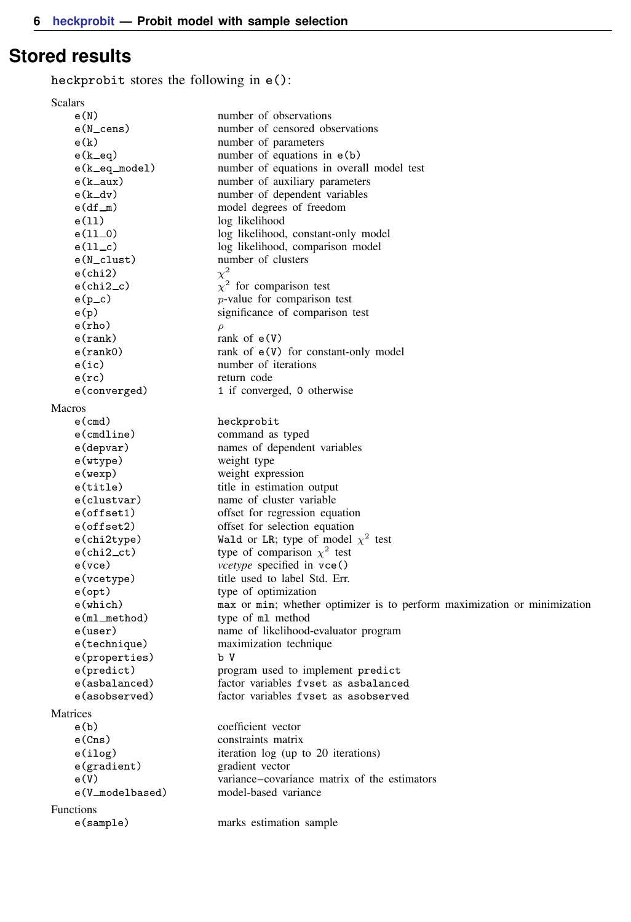# <span id="page-5-0"></span>**Stored results**

heckprobit stores the following in e():

| Scalars              |                                                                          |
|----------------------|--------------------------------------------------------------------------|
| e(N)                 | number of observations                                                   |
| $e(N_{\text{cens}})$ | number of censored observations                                          |
| e(k)                 | number of parameters                                                     |
| $e(k$ $eq)$          | number of equations in $e(b)$                                            |
| e(k_eq_model)        | number of equations in overall model test                                |
| $e(k_aux)$           | number of auxiliary parameters                                           |
| $e(k_d v)$           | number of dependent variables                                            |
| $e(df_m)$            | model degrees of freedom                                                 |
| e(11)                | log likelihood                                                           |
| $e(11-0)$            | log likelihood, constant-only model                                      |
| $e(11_{-}c)$         | log likelihood, comparison model                                         |
| e(N_clust)           | number of clusters                                                       |
| $e$ (chi2)           | $\chi^2$                                                                 |
| $e$ (chi $2$ _c)     | $\chi^2$ for comparison test                                             |
| $e(p\_c)$            | $p$ -value for comparison test                                           |
| e(p)                 | significance of comparison test                                          |
| $e$ (rho)            | $\rho$                                                                   |
| e(rank)              | rank of $e(V)$                                                           |
| e(rank0)             | rank of $e(V)$ for constant-only model                                   |
| e(ic)                | number of iterations                                                     |
|                      |                                                                          |
| $e$ (rc)             | return code                                                              |
| e(converged)         | 1 if converged, 0 otherwise                                              |
| <b>Macros</b>        |                                                                          |
| $e$ (cmd)            | heckprobit                                                               |
| $e$ (cmdline)        | command as typed                                                         |
| e(depvar)            | names of dependent variables                                             |
| e(wtype)             | weight type                                                              |
| e(wexp)              | weight expression                                                        |
| e(title)             | title in estimation output                                               |
| e(clustvar)          | name of cluster variable                                                 |
| e(offset1)           | offset for regression equation                                           |
| e(offset2)           | offset for selection equation                                            |
| e(chi2type)          | Wald or LR; type of model $\chi^2$ test                                  |
| $e$ (chi $2$ _ct)    | type of comparison $\chi^2$ test                                         |
| $e$ ( $vce$ )        | vcetype specified in vce()                                               |
| e(vcetype)           | title used to label Std. Err.                                            |
| $e$ (opt)            | type of optimization                                                     |
| e(which)             | max or min; whether optimizer is to perform maximization or minimization |
| $e(ml_{method})$     | type of m1 method                                                        |
| e(user)              | name of likelihood-evaluator program                                     |
| e(technique)         | maximization technique                                                   |
| e(properties)        | b V                                                                      |
| e(predict)           | program used to implement predict                                        |
| e(asbalanced)        | factor variables fyset as asbalanced                                     |
| e(asobserved)        | factor variables fyset as asobserved                                     |
|                      |                                                                          |
| Matrices             |                                                                          |
| e(b)                 | coefficient vector                                                       |
| e(Cns)               | constraints matrix                                                       |
| e(ilog)              | iteration log (up to 20 iterations)                                      |
| e(gradient)          | gradient vector                                                          |
| e(V)                 | variance-covariance matrix of the estimators                             |
| e(V_modelbased)      | model-based variance                                                     |
| Functions            |                                                                          |
| e(sample)            | marks estimation sample                                                  |
|                      |                                                                          |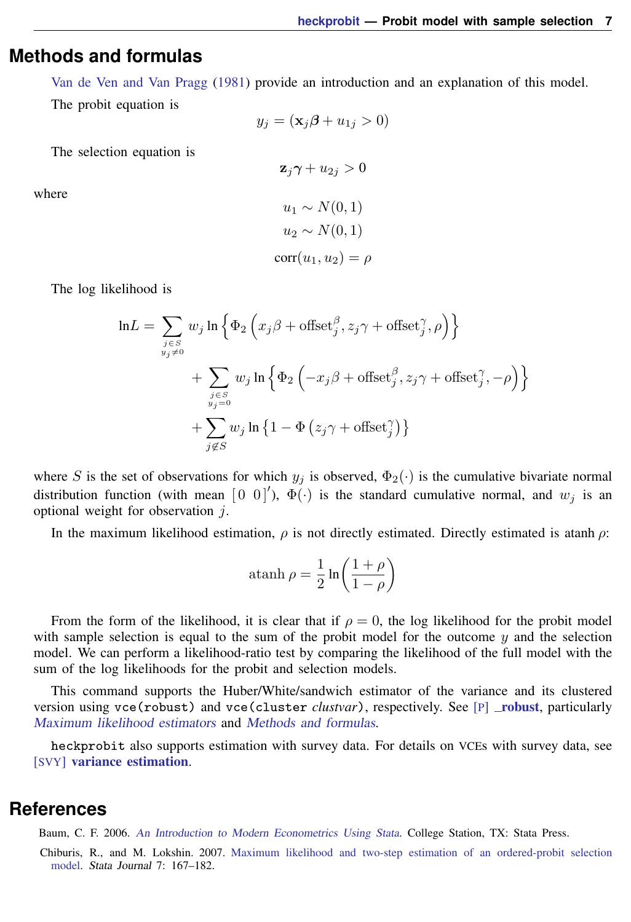# <span id="page-6-0"></span>**Methods and formulas**

[Van de Ven and Van Pragg](#page-7-1) ([1981\)](#page-7-1) provide an introduction and an explanation of this model.

The probit equation is

$$
y_j = (\mathbf{x}_j \boldsymbol{\beta} + u_{1j} > 0)
$$

 $z_i\gamma + u_{2i} > 0$ 

The selection equation is

where

$$
u_1 \sim N(0, 1)
$$

$$
u_2 \sim N(0, 1)
$$

$$
corr(u_1, u_2) = \rho
$$

The log likelihood is

$$
\ln L = \sum_{\substack{j \in S \\ y_j \neq 0}} w_j \ln \left\{ \Phi_2 \left( x_j \beta + \text{offset}_j^{\beta}, z_j \gamma + \text{offset}_j^{\gamma}, \rho \right) \right\}
$$

$$
+ \sum_{\substack{j \in S \\ y_j = 0}} w_j \ln \left\{ \Phi_2 \left( -x_j \beta + \text{offset}_j^{\beta}, z_j \gamma + \text{offset}_j^{\gamma}, -\rho \right) \right\}
$$

$$
+ \sum_{\substack{j \in S \\ j \notin S}} w_j \ln \left\{ 1 - \Phi \left( z_j \gamma + \text{offset}_j^{\gamma} \right) \right\}
$$

where S is the set of observations for which  $y_j$  is observed,  $\Phi_2(\cdot)$  is the cumulative bivariate normal distribution function (with mean  $[0 \ 0]'$ ),  $\Phi(\cdot)$  is the standard cumulative normal, and  $w_j$  is an optional weight for observation  $j$ .

In the maximum likelihood estimation,  $\rho$  is not directly estimated. Directly estimated is atanh  $\rho$ :

atanh 
$$
\rho = \frac{1}{2} \ln \left( \frac{1+\rho}{1-\rho} \right)
$$

From the form of the likelihood, it is clear that if  $\rho = 0$ , the log likelihood for the probit model with sample selection is equal to the sum of the probit model for the outcome  $y$  and the selection model. We can perform a likelihood-ratio test by comparing the likelihood of the full model with the sum of the log likelihoods for the probit and selection models.

This command supports the Huber/White/sandwich estimator of the variance and its clustered version using vce([robust](http://www.stata.com/manuals13/p_robust.pdf#p_robust)) and vce(cluster *clustvar*), respectively. See  $[P]$  \_robust, particularly [Maximum likelihood estimators](http://www.stata.com/manuals13/p_robust.pdf#p_robustRemarksandexamplesMaximumlikelihoodestimators) and [Methods and formulas](http://www.stata.com/manuals13/p_robust.pdf#p_robustMethodsandformulas).

<span id="page-6-1"></span>heckprobit also supports estimation with survey data. For details on VCEs with survey data, see [SVY] [variance estimation](http://www.stata.com/manuals13/svyvarianceestimation.pdf#svyvarianceestimation).

### **References**

Baum, C. F. 2006. [An Introduction to Modern Econometrics Using Stata](http://www.stata-press.com/books/imeus.html). College Station, TX: Stata Press.

Chiburis, R., and M. Lokshin. 2007. [Maximum likelihood and two-step estimation of an ordered-probit selection](http://www.stata-journal.com/sjpdf.html?articlenum=st0123) [model.](http://www.stata-journal.com/sjpdf.html?articlenum=st0123) Stata Journal 7: 167–182.